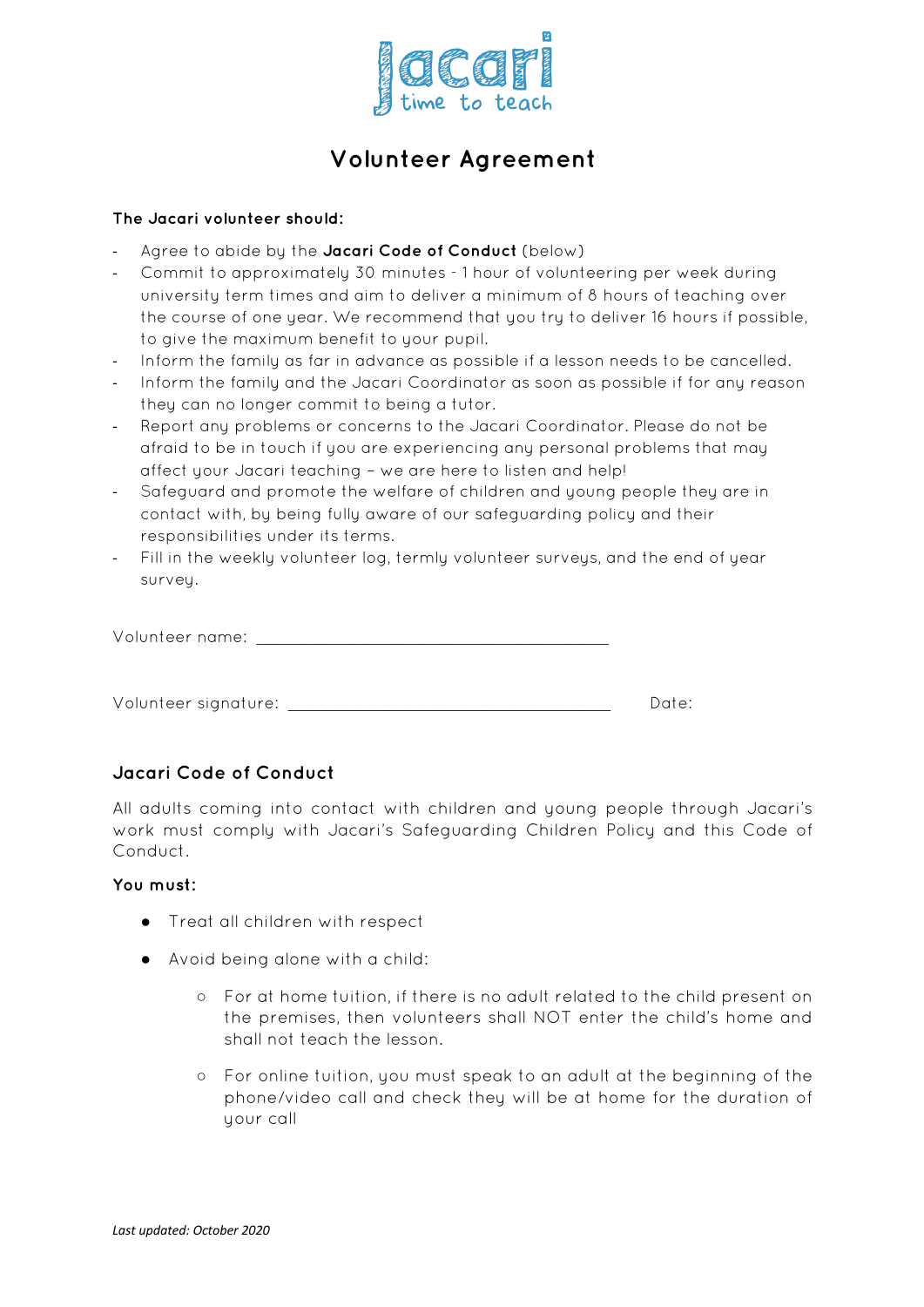

# **Volunteer Agreement**

## **The Jacari volunteer should:**

- Agree to abide by the Jacari Code of Conduct (below)
- Commit to approximately 30 minutes 1 hour of volunteering per week during university term times and aim to deliver a minimum of 8 hours of teaching over the course of one year. We recommend that you try to deliver 16 hours if possible. to give the maximum benefit to your pupil.
- Inform the family as far in advance as possible if a lesson needs to be cancelled.
- Inform the family and the Jacari Coordinator as soon as possible if for any reason they can no longer commit to being a tutor.
- Report any problems or concerns to the Jacari Coordinator. Please do not be afraid to be in touch if you are experiencing any personal problems that may affect your Jacari teaching – we are here to listen and help!
- Safeguard and promote the welfare of children and young people they are in contact with, by being fully aware of our safeguarding policy and their responsibilities under its terms.
- Fill in the weekly volunteer log, termly volunteer surveys, and the end of year survey.

| Volunteer name: |  |  |
|-----------------|--|--|
|-----------------|--|--|

Volunteer signature: \_\_\_\_\_\_\_\_\_\_\_\_\_\_\_\_\_\_\_\_\_\_\_\_\_\_\_\_\_\_\_\_\_ Date:

# **Jacari Code of Conduct**

All adults coming into contact with children and young people through Jacari's work must comply with Jacari's Safeguarding Children Policy and this Code of Conduct.

#### **You must:**

- Treat all children with respect
- Avoid being alone with a child:
	- For at home tuition, if there is no adult related to the child present on the premises, then volunteers shall NOT enter the child's home and shall not teach the lesson.
	- For online tuition, you must speak to an adult at the beginning of the phone/video call and check they will be at home for the duration of your call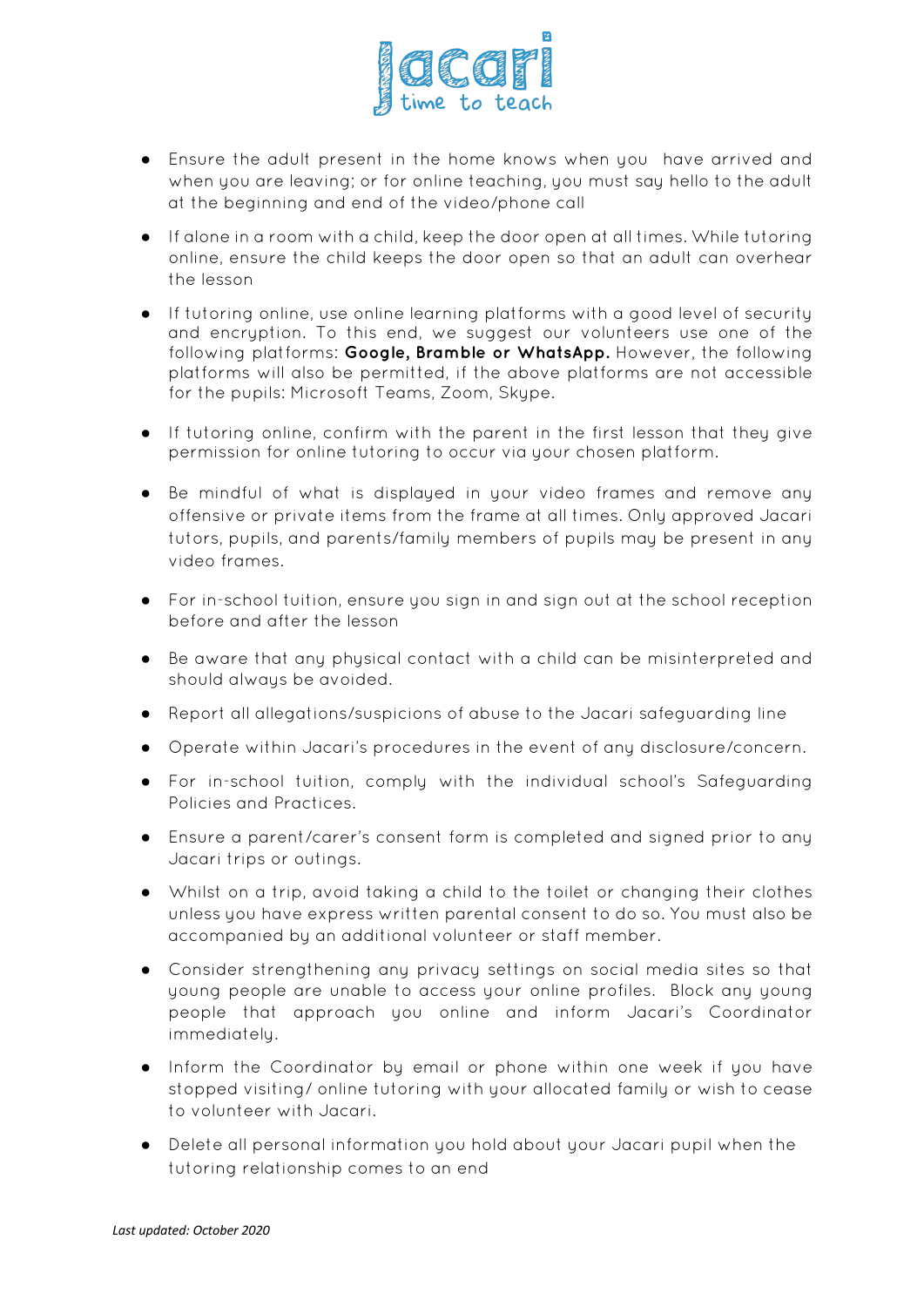

- Ensure the adult present in the home knows when you have arrived and when you are leaving; or for online teaching, you must say hello to the adult at the beginning and end of the video/phone call
- If alone in a room with a child, keep the door open at all times. While tutoring online, ensure the child keeps the door open so that an adult can overhear the lesson
- If tutoring online, use online learning platforms with a good level of security and encryption. To this end, we suggest our volunteers use one of the following platforms: **Google, Bramble or WhatsApp.** However, the following platforms will also be permitted, if the above platforms are not accessible for the pupils: Microsoft Teams, Zoom, Skype.
- If tutoring online, confirm with the parent in the first lesson that they give permission for online tutoring to occur via your chosen platform.
- Be mindful of what is displayed in your video frames and remove any offensive or private items from the frame at all times. Only approved Jacari tutors, pupils, and parents/family members of pupils may be present in any video frames.
- For in-school tuition, ensure you sign in and sign out at the school reception before and after the lesson
- Be aware that any physical contact with a child can be misinterpreted and should always be avoided.
- Report all allegations/suspicions of abuse to the Jacari safeguarding line
- Operate within Jacari's procedures in the event of any disclosure/concern.
- For in-school tuition, comply with the individual school's Safeguarding Policies and Practices.
- Ensure a parent/carer's consent form is completed and signed prior to any Jacari trips or outings.
- Whilst on a trip, avoid taking a child to the toilet or changing their clothes unless you have express written parental consent to do so. You must also be accompanied by an additional volunteer or staff member.
- Consider strengthening any privacy settings on social media sites so that young people are unable to access your online profiles. Block any young people that approach you online and inform Jacari's Coordinator immediately.
- Inform the Coordinator by email or phone within one week if you have stopped visiting/ online tutoring with your allocated family or wish to cease to volunteer with Jacari.
- Delete all personal information you hold about your Jacari pupil when the tutoring relationship comes to an end